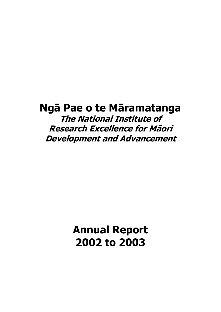# **Ngā Pae o te Māramatanga The National Institute of Research Excellence for Māori Development and Advancement**

**Annual Report 2002 to 2003**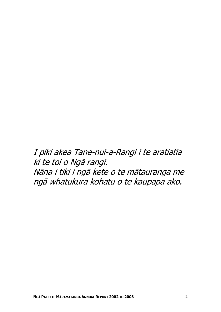I piki akea Tane-nui-a-Rangi i te aratiatia ki te toi o Ngä rangi. Nāna i tiki i ngā kete o te mātauranga me ngā whatukura kohatu o te kaupapa ako.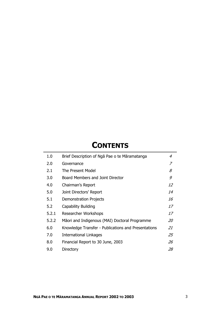# **CONTENTS**

| 1.0   | Brief Description of Nga Pae o te Maramatanga       | 4  |
|-------|-----------------------------------------------------|----|
| 2.0   | Governance                                          | 7  |
| 2.1   | The Present Model                                   | 8  |
| 3.0   | Board Members and Joint Director                    | 9  |
| 4.0   | Chairman's Report                                   | 12 |
| 5.0   | Joint Directors' Report                             | 14 |
| 5.1   | <b>Demonstration Projects</b>                       | 16 |
| 5.2   | Capability Building                                 | 17 |
| 5.2.1 | <b>Researcher Workshops</b>                         | 17 |
| 5.2.2 | Māori and Indigenous (MAI) Doctoral Programme       | 20 |
| 6.0   | Knowledge Transfer - Publications and Presentations | 21 |
| 7.0   | International Linkages                              | 25 |
| 8.0   | Financial Report to 30 June, 2003                   | 26 |
| 9.0   | Directory                                           | 28 |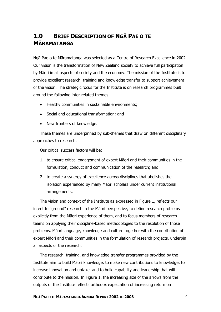## **1.0 BRIEF DESCRIPTION OF NGĀ PAE O TE MĀRAMATANGA**

Ngā Pae o te Māramatanga was selected as a Centre of Research Excellence in 2002. Our vision is the transformation of New Zealand society to achieve full participation by Māori in all aspects of society and the economy. The mission of the Institute is to provide excellent research, training and knowledge transfer to support achievement of the vision. The strategic focus for the Institute is on research programmes built around the following inter-related themes:

- Healthy communities in sustainable environments;
- Social and educational transformation; and
- New frontiers of knowledge.

These themes are underpinned by sub-themes that draw on different disciplinary approaches to research.

Our critical success factors will be:

- 1. to ensure critical engagement of expert Māori and their communities in the formulation, conduct and communication of the research; and
- 2. to create a synergy of excellence across disciplines that abolishes the isolation experienced by many Māori scholars under current institutional arrangements.

The vision and context of the Institute as expressed in Figure 1, reflects our intent to "ground" research in the Māori perspective, to define research problems explicitly from the Māori experience of them, and to focus members of research teams on applying their discipline-based methodologies to the resolution of those problems. Māori language, knowledge and culture together with the contribution of expert Māori and their communities in the formulation of research projects, underpin all aspects of the research.

The research, training, and knowledge transfer programmes provided by the Institute aim to build Māori knowledge, to make new contributions to knowledge, to increase innovation and uptake, and to build capability and leadership that will contribute to the mission. In Figure 1, the increasing size of the arrows from the outputs of the Institute reflects orthodox expectation of increasing return on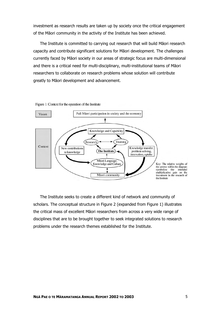investment as research results are taken up by society once the critical engagement of the Māori community in the activity of the Institute has been achieved.

The Institute is committed to carrying out research that will build Māori research capacity and contribute significant solutions for Māori development. The challenges currently faced by Māori society in our areas of strategic focus are multi-dimensional and there is a critical need for multi-disciplinary, multi-institutional teams of Māori researchers to collaborate on research problems whose solution will contribute greatly to Māori development and advancement.



Figure 1: Context for the operation of the Institute

The Institute seeks to create a different kind of network and community of scholars. The conceptual structure in Figure 2 (expanded from Figure 1) illustrates the critical mass of excellent Māori researchers from across a very wide range of disciplines that are to be brought together to seek integrated solutions to research problems under the research themes established for the Institute.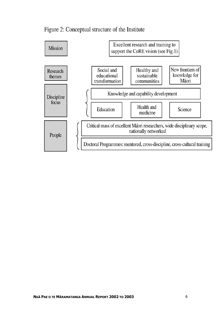

## Figure 2: Conceptual structure of the Institute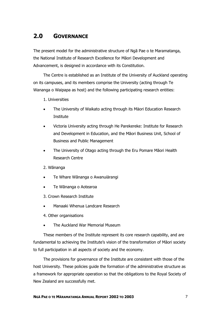## **2.0 GOVERNANCE**

The present model for the administrative structure of Ngā Pae o te Maramatanga, the National Institute of Research Excellence for Māori Development and Advancement, is designed in accordance with its Constitution.

The Centre is established as an Institute of the University of Auckland operating on its campuses, and its members comprise the University (acting through Te Wananga o Waipapa as host) and the following participating research entities:

- 1. Universities
- The University of Waikato acting through its Mäori Education Research Institute
- Victoria University acting through He Parekereke: Institute for Research and Development in Education, and the Māori Business Unit, School of Business and Public Management
- The University of Otago acting through the Eru Pomare Māori Health Research Centre
- 2. Wānanga
- Te Whare Wānanga o Awanuiärangi
- Te Wānanga o Aotearoa
- 3. Crown Research Institute
- Manaaki Whenua Landcare Research
- 4. Other organisations
- The Auckland War Memorial Museum

These members of the Institute represent its core research capability, and are fundamental to achieving the Institute's vision of the transformation of Māori society to full participation in all aspects of society and the economy.

The provisions for governance of the Institute are consistent with those of the host University. These policies guide the formation of the administrative structure as a framework for appropriate operation so that the obligations to the Royal Society of New Zealand are successfully met.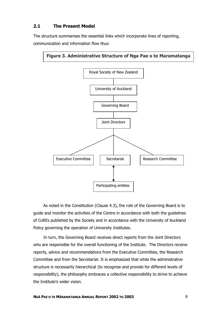### **2.1 The Present Model**

The structure summarises the essential links which incorporate lines of reporting, communication and information flow thus:



As noted in the Constitution (Clause 4.3), the role of the Governing Board is to guide and monitor the activities of the Centre in accordance with both the guidelines of CoREs published by the Society and in accordance with the University of Auckland Policy governing the operation of University Institutes.

In turn, the Governing Board receives direct reports from the Joint Directors who are responsible for the overall functioning of the Institute. The Directors receive reports, advice and recommendations from the Executive Committee, the Research Committee and from the Secretariat. It is emphasized that while the administrative structure is necessarily hierarchical (to recognise and provide for different levels of responsibility), the philosophy embraces a collective responsibility to strive to achieve the Institute's wider vision.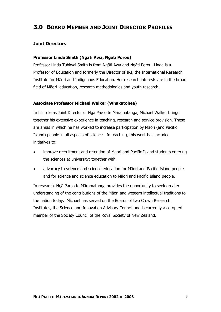## **3.0 BOARD MEMBER AND JOINT DIRECTOR PROFILES**

### **Joint Directors**

#### **Professor Linda Smith (Ngäti Awa, Ngäti Porou)**

Professor Linda Tuhiwai Smith is from Ngāti Awa and Ngāti Porou. Linda is a Professor of Education and formerly the Director of IRI, the International Research Institute for Māori and Indigenous Education. Her research interests are in the broad field of Māori education, research methodologies and youth research.

#### **Associate Professor Michael Walker (Whakatohea)**

In his role as Joint Director of Ngā Pae o te Māramatanga, Michael Walker brings together his extensive experience in teaching, research and service provision. These are areas in which he has worked to increase participation by Mäori (and Pacific Island) people in all aspects of science. In teaching, this work has included initiatives to:

- improve recruitment and retention of Mäori and Pacific Island students entering the sciences at university; together with
- advocacy to science and science education for Mäori and Pacific Island people and for science and science education to Mäori and Pacific Island people.

In research, Ngā Pae o te Māramatanga provides the opportunity to seek greater understanding of the contributions of the Mäori and western intellectual traditions to the nation today. Michael has served on the Boards of two Crown Research Institutes, the Science and Innovation Advisory Council and is currently a co-opted member of the Society Council of the Royal Society of New Zealand.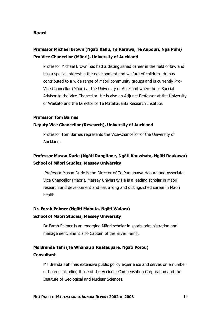#### **Board**

## **Professor Michael Brown (Ngāti Kahu, Te Rarawa, Te Aupouri, Ngä Puhi) Pro Vice Chancellor (Mäori), University of Auckland**

Professor Michael Brown has had a distinguished career in the field of law and has a special interest in the development and welfare of children. He has contributed to a wide range of Mäori community groups and is currently Pro-Vice Chancellor (Mäori) at the University of Auckland where he is Special Advisor to the Vice-Chancellor. He is also an Adjunct Professor at the University of Waikato and the Director of Te Matahauariki Research Institute.

#### **Professor Tom Barnes**

#### **Deputy Vice Chancellor (Research), University of Auckland**

Professor Tom Barnes represents the Vice-Chancellor of the University of Auckland.

## **Professor Mason Durie (Ngāti Rangitane, Ngāti Kauwhata, Ngāti Raukawa) School of Mäori Studies, Massey University**

 Professor Mason Durie is the Director of Te Pumanawa Haoura and Associate Vice Chancellor (Mäori), Massey University He is a leading scholar in Mäori research and development and has a long and distinguished career in Mäori health.

## **Dr. Farah Palmer (Ngāti Mahuta, Ngāti Waiora) School of Mäori Studies, Massey University**

Dr Farah Palmer is an emerging Mäori scholar in sports administration and management. She is also Captain of the Silver Ferns**.**

### **Ms Brenda Tahi (Te Whänau a Ruataupare, Ngäti Porou) Consultant**

Ms Brenda Tahi has extensive public policy experience and serves on a number of boards including those of the Accident Compensation Corporation and the Institute of Geological and Nuclear Sciences**.**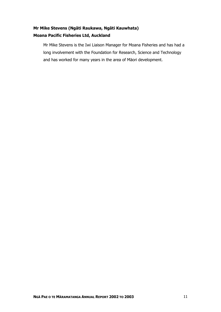## **Mr Mike Stevens (Ngāti Raukawa, Ngāti Kauwhata) Moana Pacific Fisheries Ltd, Auckland**

Mr Mike Stevens is the Iwi Liaison Manager for Moana Fisheries and has had a long involvement with the Foundation for Research, Science and Technology and has worked for many years in the area of Mäori development.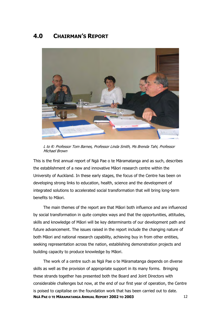## **4.0 CHAIRMAN'S REPORT**



L to R: Professor Tom Barnes, Professor Linda Smith, Ms Brenda Tahi, Professor Michael Brown

This is the first annual report of Ngä Pae o te Märamatanga and as such, describes the establishment of a new and innovative Māori research centre within the University of Auckland. In these early stages, the focus of the Centre has been on developing strong links to education, health, science and the development of integrated solutions to accelerated social transformation that will bring long-term benefits to Māori.

The main themes of the report are that Māori both influence and are influenced by social transformation in quite complex ways and that the opportunities, attitudes, skills and knowledge of Māori will be key determinants of our development path and future advancement. The issues raised in the report include the changing nature of both Māori and national research capability, achieving buy in from other entities, seeking representation across the nation, establishing demonstration projects and building capacity to produce knowledge by Māori.

The work of a centre such as Ngä Pae o te Märamatanga depends on diverse skills as well as the provision of appropriate support in its many forms. Bringing these strands together has presented both the Board and Joint Directors with considerable challenges but now, at the end of our first year of operation, the Centre is poised to capitalise on the foundation work that has been carried out to date. **NGÄ PAE O TE MÄRAMATANGA ANNUAL REPORT 2002 TO 2003** 12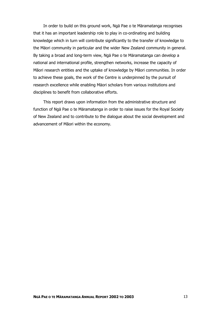In order to build on this ground work, Ngä Pae o te Märamatanga recognises that it has an important leadership role to play in co-ordinating and building knowledge which in turn will contribute significantly to the transfer of knowledge to the Mäori community in particular and the wider New Zealand community in general. By taking a broad and long-term view, Ngä Pae o te Märamatanga can develop a national and international profile, strengthen networks, increase the capacity of Māori research entities and the uptake of knowledge by Māori communities. In order to achieve these goals, the work of the Centre is underpinned by the pursuit of research excellence while enabling Mäori scholars from various institutions and disciplines to benefit from collaborative efforts.

This report draws upon information from the administrative structure and function of Ngä Pae o te Märamatanga in order to raise issues for the Royal Society of New Zealand and to contribute to the dialogue about the social development and advancement of Māori within the economy.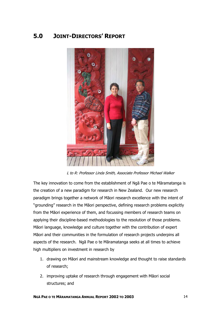## **5.0 JOINT-DIRECTORS' REPORT**



L to R: Professor Linda Smith, Associate Professor Michael Walker

The key innovation to come from the establishment of Ngā Pae o te Māramatanga is the creation of a new paradigm for research in New Zealand. Our new research paradigm brings together a network of Māori research excellence with the intent of "grounding" research in the Māori perspective, defining research problems explicitly from the Māori experience of them, and focussing members of research teams on applying their discipline-based methodologies to the resolution of those problems. Māori language, knowledge and culture together with the contribution of expert Māori and their communities in the formulation of research projects underpins all aspects of the research. Ngā Pae o te Māramatanga seeks at all times to achieve high multipliers on investment in research by

- 1. drawing on Māori and mainstream knowledge and thought to raise standards of research;
- 2. improving uptake of research through engagement with Māori social structures; and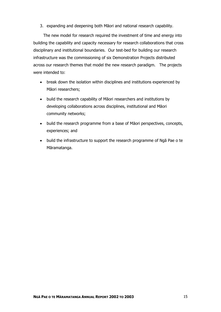3. expanding and deepening both Māori and national research capability.

The new model for research required the investment of time and energy into building the capability and capacity necessary for research collaborations that cross disciplinary and institutional boundaries. Our test-bed for building our research infrastructure was the commissioning of six Demonstration Projects distributed across our research themes that model the new research paradigm. The projects were intended to:

- break down the isolation within disciplines and institutions experienced by Māori researchers;
- build the research capability of Māori researchers and institutions by developing collaborations across disciplines, institutional and Māori community networks;
- build the research programme from a base of Māori perspectives, concepts, experiences; and
- build the infrastructure to support the research programme of Ngā Pae o te Māramatanga.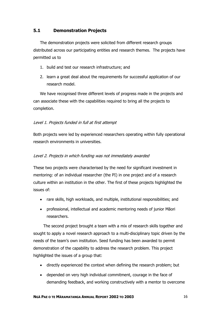### **5.1 Demonstration Projects**

The demonstration projects were solicited from different research groups distributed across our participating entities and research themes. The projects have permitted us to

- 1. build and test our research infrastructure; and
- 2. learn a great deal about the requirements for successful application of our research model.

We have recognised three different levels of progress made in the projects and can associate these with the capabilities required to bring all the projects to completion.

### Level 1. Projects funded in full at first attempt

Both projects were led by experienced researchers operating within fully operational research environments in universities.

### Level 2. Projects in which funding was not immediately awarded

These two projects were characterised by the need for significant investment in mentoring: of an individual researcher (the PI) in one project and of a research culture within an institution in the other. The first of these projects highlighted the issues of:

- rare skills, high workloads, and multiple, institutional responsibilities; and
- professional, intellectual and academic mentoring needs of junior Māori researchers.

The second project brought a team with a mix of research skills together and sought to apply a novel research approach to a multi-disciplinary topic driven by the needs of the team's own institution. Seed funding has been awarded to permit demonstration of the capability to address the research problem. This project highlighted the issues of a group that:

- directly experienced the context when defining the research problem; but
- depended on very high individual commitment, courage in the face of demanding feedback, and working constructively with a mentor to overcome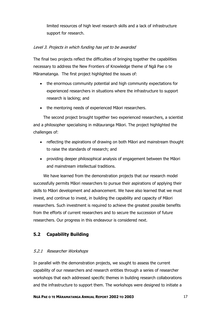limited resources of high level research skills and a lack of infrastructure support for research.

### Level 3. Projects in which funding has yet to be awarded

The final two projects reflect the difficulties of bringing together the capabilities necessary to address the New Frontiers of Knowledge theme of Ngā Pae o te Māramatanga. The first project highlighted the issues of:

- the enormous community potential and high community expectations for experienced researchers in situations where the infrastructure to support research is lacking; and
- the mentoring needs of experienced Māori researchers.

The second project brought together two experienced researchers, a scientist and a philosopher specialising in mātauranga Māori. The project highlighted the challenges of:

- reflecting the aspirations of drawing on both Māori and mainstream thought to raise the standards of research; and
- providing deeper philosophical analysis of engagement between the Māori and mainstream intellectual traditions.

We have learned from the demonstration projects that our research model successfully permits Māori researchers to pursue their aspirations of applying their skills to Māori development and advancement. We have also learned that we must invest, and continue to invest, in building the capability and capacity of Māori researchers. Such investment is required to achieve the greatest possible benefits from the efforts of current researchers and to secure the succession of future researchers. Our progress in this endeavour is considered next.

### **5.2 Capability Building**

### 5.2.1 Researcher Workshops

In parallel with the demonstration projects, we sought to assess the current capability of our researchers and research entities through a series of researcher workshops that each addressed specific themes in building research collaborations and the infrastructure to support them. The workshops were designed to initiate a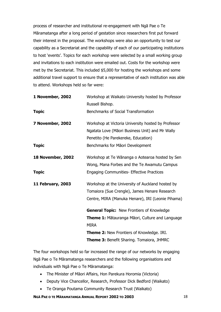process of researcher and institutional re-engagement with Ngā Pae o Te Māramatanga after a long period of gestation since researchers first put forward their interest in the proposal. The workshops were also an opportunity to test our capability as a Secretariat and the capability of each of our participating institutions to host 'events'. Topics for each workshop were selected by a small working group and invitations to each institution were emailed out. Costs for the workshop were met by the Secretariat. This included \$5,000 for hosting the workshops and some additional travel support to ensure that a representative of each institution was able to attend. Workshops held so far were:

| 1 November, 2002         | Workshop at Waikato University hosted by Professor  |  |  |  |
|--------------------------|-----------------------------------------------------|--|--|--|
|                          | Russell Bishop.                                     |  |  |  |
| <b>Topic</b>             | Benchmarks of Social Transformation                 |  |  |  |
| 7 November, 2002         | Workshop at Victoria University hosted by Professor |  |  |  |
|                          | Ngatata Love (Māori Business Unit) and Mr Wally     |  |  |  |
|                          | Penetito (He Parekereke, Education)                 |  |  |  |
| <b>Topic</b>             | Benchmarks for Māori Development                    |  |  |  |
| <b>18 November, 2002</b> | Workshop at Te Wānanga o Aotearoa hosted by Sen     |  |  |  |
|                          | Wong, Mana Forbes and the Te Awamutu Campus         |  |  |  |
| <b>Topic</b>             | <b>Engaging Communities- Effective Practices</b>    |  |  |  |
| <b>11 February, 2003</b> | Workshop at the University of Auckland hosted by    |  |  |  |
|                          | Tomaiora (Sue Crengle), James Henare Research       |  |  |  |
|                          | Centre, MIRA (Manuka Henare), IRI (Leonie Pihama)   |  |  |  |
|                          | <b>General Topic:</b> New Frontiers of Knowledge    |  |  |  |
|                          | Theme 1: Mātauranga Māori, Culture and Language     |  |  |  |
|                          | <b>MIRA</b>                                         |  |  |  |
|                          | <b>Theme 2: New Frontiers of Knowledge. IRI.</b>    |  |  |  |
|                          | Theme 3: Benefit Sharing. Tomaiora, JHMRC           |  |  |  |

The four workshops held so far increased the range of our networks by engaging Ngā Pae o Te Māramatanga researchers and the following organisations and individuals with Ngā Pae o Te Māramatanga:

- The Minister of Māori Affairs, Hon Parekura Horomia (Victoria)
- Deputy Vice Chancellor, Research, Professor Dick Bedford (Waikato)
- Te Oranga Poutama Community Research Trust (Waikato)

**NGÄ PAE O TE MÄRAMATANGA ANNUAL REPORT 2002 TO 2003** 18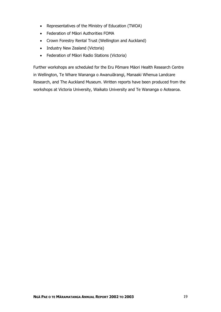- Representatives of the Ministry of Education (TWOA)
- Federation of Māori Authorities FOMA
- Crown Forestry Rental Trust (Wellington and Auckland)
- Industry New Zealand (Victoria)
- Federation of Māori Radio Stations (Victoria)

Further workshops are scheduled for the Eru Pōmare Mäori Health Research Centre in Wellington, Te Whare Wananga o Awanuiārangi, Manaaki Whenua Landcare Research, and The Auckland Museum. Written reports have been produced from the workshops at Victoria University, Waikato University and Te Wananga o Aotearoa.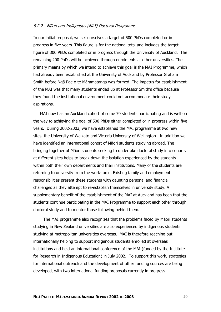#### 5.2.2. Māori and Indigenous (MAI) Doctoral Programme

In our initial proposal, we set ourselves a target of 500 PhDs completed or in progress in five years. This figure is for the national total and includes the target figure of 300 PhDs completed or in progress through the University of Auckland. The remaining 200 PhDs will be achieved through enrolments at other universities. The primary means by which we intend to achieve this goal is the MAI Programme, which had already been established at the University of Auckland by Professor Graham Smith before Ngā Pae o te Māramatanga was formed. The impetus for establishment of the MAI was that many students ended up at Professor Smith's office because they found the institutional environment could not accommodate their study aspirations.

MAI now has an Auckland cohort of some 70 students participating and is well on the way to achieving the goal of 500 PhDs either completed or in progress within five years. During 2002-2003, we have established the MAI programme at two new sites, the University of Waikato and Victoria University of Wellington. In addition we have identified an international cohort of Māori students studying abroad. The bringing together of Māori students seeking to undertake doctoral study into cohorts at different sites helps to break down the isolation experienced by the students within both their own departments and their institutions. Many of the students are returning to university from the work-force. Existing family and employment responsibilities present these students with daunting personal and financial challenges as they attempt to re-establish themselves in university study. A supplementary benefit of the establishment of the MAI at Auckland has been that the students continue participating in the MAI Programme to support each other through doctoral study and to mentor those following behind them.

The MAI programme also recognizes that the problems faced by Māori students studying in New Zealand universities are also experienced by indigenous students studying at metropolitan universities overseas. MAI is therefore reaching out internationally helping to support indigenous students enrolled at overseas institutions and held an international conference of the MAI (funded by the Institute for Research in Indigenous Education) in July 2002. To support this work, strategies for international outreach and the development of other funding sources are being developed, with two international funding proposals currently in progress.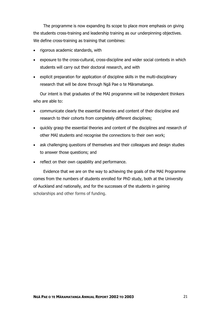The programme is now expanding its scope to place more emphasis on giving the students cross-training and leadership training as our underpinning objectives. We define cross-training as training that combines:

- rigorous academic standards, with
- exposure to the cross-cultural, cross-discipline and wider social contexts in which students will carry out their doctoral research, and with
- explicit preparation for application of discipline skills in the multi-disciplinary research that will be done through Ngā Pae o te Māramatanga.

Our intent is that graduates of the MAI programme will be independent thinkers who are able to:

- communicate clearly the essential theories and content of their discipline and research to their cohorts from completely different disciplines;
- quickly grasp the essential theories and content of the disciplines and research of other MAI students and recognise the connections to their own work;
- ask challenging questions of themselves and their colleagues and design studies to answer those questions; and
- reflect on their own capability and performance.

Evidence that we are on the way to achieving the goals of the MAI Programme comes from the numbers of students enrolled for PhD study, both at the University of Auckland and nationally, and for the successes of the students in gaining scholarships and other forms of funding.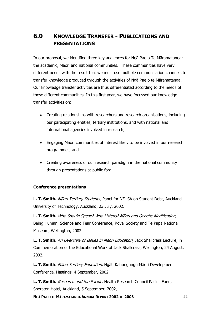## **6.0 KNOWLEDGE TRANSFER - PUBLICATIONS AND PRESENTATIONS**

In our proposal, we identified three key audiences for Ngā Pae o Te Māramatanga: the academic, Māori and national communities. These communities have very different needs with the result that we must use multiple communication channels to transfer knowledge produced through the activities of Ngā Pae o te Māramatanga. Our knowledge transfer activities are thus differentiated according to the needs of these different communities. In this first year, we have focussed our knowledge transfer activities on:

- Creating relationships with researchers and research organisations, including our participating entities, tertiary institutions, and with national and international agencies involved in research;
- Engaging Māori communities of interest likely to be involved in our research programmes; and
- Creating awareness of our research paradigm in the national community through presentations at public fora

### **Conference presentations**

**L. T. Smith.** Māori Tertiary Students, Panel for NZUSA on Student Debt, Auckland University of Technology, Auckland, 23 July, 2002.

**L. T. Smith.** Who Should Speak? Who Listens? Māori and Genetic Modification, Being Human, Science and Fear Conference, Royal Society and Te Papa National Museum, Wellington, 2002.

**L. T. Smith.** An Overview of Issues in Māori Education, Jack Shallcrass Lecture, in Commemoration of the Educational Work of Jack Shallcrass, Wellington, 24 August, 2002.

**L. T. Smith**. Māori Tertiary Education, Ngāti Kahungungu Māori Development Conference, Hastings, 4 September, 2002

**L. T. Smith.** Research and the Pacific, Health Research Council Pacific Fono, Sheraton Hotel, Auckland, 5 September, 2002,

**NGÄ PAE O TE MÄRAMATANGA ANNUAL REPORT 2002 TO 2003** 22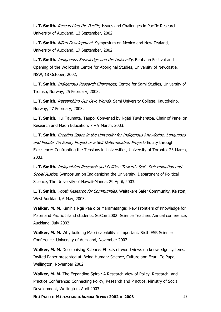**L. T. Smith.** *Researching the Pacific*, Issues and Challenges in Pacific Research, University of Auckland, 13 September, 2002,

**L. T. Smith.** Māori Development, Symposium on Mexico and New Zealand, University of Auckland, 17 September, 2002.

**L. T. Smith.** Indigenous Knowledge and the University, Birabahn Festival and Opening of the Wollotuka Centre for Aboriginal Studies, University of Newcastle, NSW, 18 October, 2002,

**L. T. Smith.** Indigenous Research Challenges, Centre for Sami Studies, University of Tromso, Norway, 25 February, 2003.

**L. T. Smith.** Researching Our Own Worlds, Sami University College, Kautokeino, Norway, 27 February, 2003.

**L. T. Smith.** Hui Taumata, Taupo, Convened by Ngāti Tuwharetoa, Chair of Panel on Research and Māori Education, 7 – 9 March, 2003.

**L. T. Smith.** Creating Space in the University for Indigenous Knowledge, Languages and People: An Equity Project or a Self Determination Project? Equity through Excellence: Confronting the Tensions in Universities, University of Toronto, 23 March, 2003.

**L. T. Smith.** Indigenizing Research and Politics: Towards Self –Determination and Social Justice, Symposium on Indigenizing the University, Department of Political Science, The University of Hawaii-Manoa, 29 April, 2003.

L. T. Smith. Youth Research for Communities, Waitakere Safer Community, Kelston, West Auckland, 6 May, 2003.

**Walker, M. M.** Kimihia Ngā Pae o te Māramatanga: New Frontiers of Knowledge for Māori and Pacific Island students. SciCon 2002: Science Teachers Annual conference, Auckland, July 2002.

**Walker, M. M.** Why building Māori capability is important. Sixth ESR Science Conference, University of Auckland, November 2002.

Walker, M. M. Decolonising Science: Effects of world views on knowledge systems. Invited Paper presented at 'Being Human: Science, Culture and Fear'. Te Papa, Wellington, November 2002.

**Walker, M. M.** The Expanding Spiral: A Research View of Policy, Research, and Practice Conference: Connecting Policy, Research and Practice. Ministry of Social Development, Wellington, April 2003.

**NGÄ PAE O TE MÄRAMATANGA ANNUAL REPORT 2002 TO 2003** 23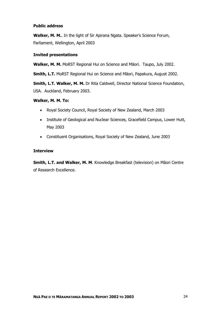#### **Public address**

**Walker, M. M.**. In the light of Sir Apirana Ngata. Speaker's Science Forum, Parliament, Wellington, April 2003

#### **Invited presentations**

**Walker, M. M.** MoRST Regional Hui on Science and Māori. Taupo, July 2002.

**Smith, L.T.** MoRST Regional Hui on Science and Māori, Papakura, August 2002.

**Smith, L.T. Walker, M. M.** Dr Rita Caldwell, Director National Science Foundation, USA. Auckland, February 2003.

#### **Walker, M. M. To:**

- Royal Society Council, Royal Society of New Zealand, March 2003
- Institute of Geological and Nuclear Sciences, Gracefield Campus, Lower Hutt, May 2003
- Constituent Organisations, Royal Society of New Zealand, June 2003

#### **Interview**

**Smith, L.T. and Walker, M. M**. Knowledge Breakfast (television) on Māori Centre of Research Excellence.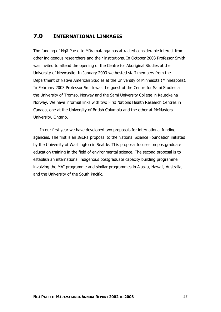## **7.0 INTERNATIONAL LINKAGES**

The funding of Ngā Pae o te Māramatanga has attracted considerable interest from other indigenous researchers and their institutions. In October 2003 Professor Smith was invited to attend the opening of the Centre for Aboriginal Studies at the University of Newcastle. In January 2003 we hosted staff members from the Department of Native American Studies at the University of Minnesota (Minneapolis). In February 2003 Professor Smith was the guest of the Centre for Sami Studies at the University of Tromso, Norway and the Sami University College in Kautokeina Norway. We have informal links with two First Nations Health Research Centres in Canada, one at the University of British Columbia and the other at McMasters University, Ontario.

In our first year we have developed two proposals for international funding agencies. The first is an IGERT proposal to the National Science Foundation initiated by the University of Washington in Seattle. This proposal focuses on postgraduate education training in the field of environmental science. The second proposal is to establish an international indigenous postgraduate capacity building programme involving the MAI programme and similar programmes in Alaska, Hawaii, Australia, and the University of the South Pacific.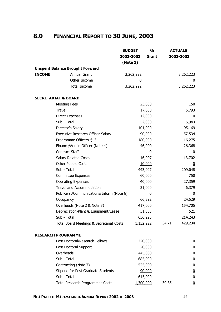# **8.0 FINANCIAL REPORT TO 30 JUNE, 2003**

|               |                                                               | <b>BUDGET</b><br>2002-2003 | $\frac{1}{2}$<br>Grant |       | <b>ACTUALS</b><br>2002-2003 |
|---------------|---------------------------------------------------------------|----------------------------|------------------------|-------|-----------------------------|
|               |                                                               | (Note 1)                   |                        |       |                             |
| <b>INCOME</b> | <b>Unspent Balance Brought Forward</b><br><b>Annual Grant</b> | 3,262,222                  |                        |       | 3,262,223                   |
|               | Other Income                                                  | 0                          |                        |       | U                           |
|               | <b>Total Income</b>                                           | 3,262,222                  |                        |       | 3,262,223                   |
|               | <b>SECRETARIAT &amp; BOARD</b>                                |                            |                        |       |                             |
|               | <b>Meeting Fees</b>                                           |                            | 23,000                 |       | 150                         |
|               | <b>Travel</b>                                                 |                            | 17,000                 |       | 5,793                       |
|               | <b>Direct Expenses</b>                                        |                            | 12,000                 |       | $\bf{0}$                    |
|               | Sub - Total                                                   |                            | 52,000                 |       | 5,943                       |
|               | Director's Salary                                             |                            | 101,000                |       | 95,169                      |
|               | Executive Research Officer-Salary                             |                            | 90,000                 |       | 57,534                      |
|               | Programme Officers @ 3                                        |                            | 180,000                |       | 16,275                      |
|               | Finance/Admin Officer (Note 4)                                |                            | 46,000                 |       | 26,368                      |
|               | <b>Contract Staff</b>                                         |                            | 0                      |       | $\Omega$                    |
|               | Salary Related Costs                                          |                            | 16,997                 |       | 13,702                      |
|               | Other People Costs                                            |                            | 10,000                 |       | $\overline{0}$              |
|               | Sub - Total                                                   |                            | 443,997                |       | 209,048                     |
|               | <b>Committee Expenses</b>                                     |                            | 60,000                 |       | 750                         |
|               | <b>Operating Expenses</b>                                     |                            | 40,000                 |       | 27,359                      |
|               | <b>Travel and Accommodation</b>                               |                            | 21,000                 |       | 6,379                       |
|               | Pub Relat/Communications/Inform (Note 6)                      |                            | 0                      |       | 0                           |
|               | Occupancy                                                     |                            | 66,392                 |       | 24,529                      |
|               | Overheads (Note 2 & Note 3)                                   |                            | 417,000                |       | 154,705                     |
|               | Depreciation-Plant & Equipment/Lease                          |                            | 31,833                 |       | 521                         |
|               | Sub - Total                                                   |                            | 636,225                |       | 214,243                     |
|               | Total Board Meetings & Secretariat Costs                      | 1,132,222                  |                        | 34.71 | <u>429,234</u>              |
|               | <b>RESEARCH PROGRAMME</b>                                     |                            |                        |       |                             |
|               | Post Doctoral/Research Fellows                                |                            | 220,000                |       | $\overline{0}$              |
|               | Post Doctoral Support                                         |                            | 20,000                 |       | 0                           |
|               | Overheads                                                     |                            | 445,000                |       | $\overline{0}$              |
|               | Sub - Total                                                   |                            | 685,000                |       | $\bf{0}$                    |
|               | Contracting (Note 7)                                          |                            | 525,000                |       | 0                           |
|               | Stipend for Post Graduate Students                            |                            | 90,000                 |       | $\underline{0}$             |
|               | Sub - Total                                                   |                            | 615,000                |       | $\bf{0}$                    |
|               | <b>Total Research Programmes Costs</b>                        | 1,300,000                  |                        | 39.85 | $\overline{0}$              |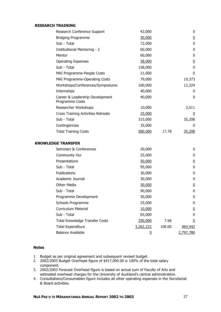| RESEARCH TRAINING |  |
|-------------------|--|
|-------------------|--|

| Research Conference Support                        | 42,000         |        | 0              |
|----------------------------------------------------|----------------|--------|----------------|
| <b>Bridging Programme</b>                          | 30,000         |        | $\overline{0}$ |
| Sub - Total                                        | 72,000         |        | $\mathbf 0$    |
| <b>Instituitional Mentoring - 2</b>                | 60,000         |        | 0              |
| Mentor                                             | 60,000         |        | 0              |
| <b>Operating Expenses</b>                          | 38,000         |        | $\overline{0}$ |
| Sub - Total                                        | 158,000        |        | 0              |
| MAI Programme-People Costs                         | 21,000         |        | 0              |
| MAI Programme-Operating Costs                      | 79,000         |        | 19,373         |
| Workshops/Conferences/Symposiums                   | 100,000        |        | 12,324         |
| Internships                                        | 40,000         |        | 0              |
| Career & Leadership Development<br>Programme Costs | 40,000         |        | 0              |
| Researcher Workshops                               | 10,000         |        | 3,511          |
| <b>Cross Training Activities Retreats</b>          | 25,000         |        | $\overline{0}$ |
| Sub - Total                                        | 315,000        |        | 35,208         |
| Contingencies                                      | 35,000         |        | 0              |
| <b>Total Training Costs</b>                        | 580,000        | 17.78  | 35,208         |
| <b>KNOWLEDGE TRANSFER</b>                          |                |        |                |
| Seminars & Conferences                             | 20,000         |        | 0              |
| Community Hui                                      | 25,000         |        | 0              |
| Presentations                                      | 50,000         |        | $\overline{0}$ |
| Sub - Total                                        | 95,000         |        | 0              |
| Publications                                       | 30,000         |        | 0              |
| Academic Journal                                   | 30,000         |        | 0              |
| Other Media                                        | 30,000         |        | <u>0</u>       |
| Sub - Total                                        | 90,000         |        | 0              |
| Programme Development                              | 30,000         |        | 0              |
| Schools Programme                                  | 25,000         |        | 0              |
| <b>Curriculum Material</b>                         | 10,000         |        | <u>0</u>       |
| Sub - Total                                        | 65,000         |        | $\mathbf{0}$   |
| <b>Total Knowledge Transfer Costs</b>              | 250,000        | 7.66   | $\overline{0}$ |
| <b>Total Expenditure</b>                           | 3,262,222      | 100.00 | <u>464,442</u> |
| <b>Balance Available</b>                           | $\overline{0}$ |        | 2,797,780      |

#### **Notes**

- 1. Budget as per original agreement and subsequent revised budget.
- 2. 2002/2003 Budget Overhead figure of \$417,000.00 is 100% of the total salary component.
- 3. 2002/2003 Forecast Overhead figure is based on actual sum of Faculty of Arts and estimated overhead charges for the University of Auckland's central administration.
- 4. Consultations/Consumables figure includes all other operating expenses in the Secretariat & Board activities.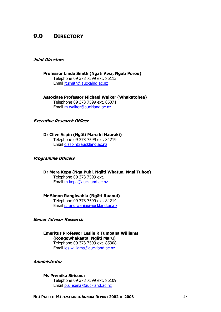## **9.0 DIRECTORY**

#### **Joint Directors**

**Professor Linda Smith (Ngäti Awa, Ngäti Porou)**  Telephone 09 373 7599 ext. 86113 Email [lt.smith@auckalnd.ac.nz](mailto:lt.smith@auckalnd.ac.nz)

**Associate Professor Michael Walker (Whakatohea)**  Telephone 09 373 7599 ext. 85371 Email [m.walker@auckland.ac.nz](mailto:m.walker@auckland.ac.nz)

#### **Executive Research Officer**

**Dr Clive Aspin (Ngäti Maru ki Hauraki)**  Telephone 09 373 7599 ext. 84219 Email [c.aspin@auckland.ac.nz](mailto:c.aspin@auckland.ac.nz)

#### **Programme Officers**

**Dr Mere Kepa (Nga Puhi, Ngäti Whatua, Ngai Tuhoe)**  Telephone 09 373 7599 ext. Email [m.kepa@auckland.ac.nz](mailto:m.kepa@auckland.ac.nz)

**Mr Simon Rangiwahia (Ngäti Ruanui)**  Telephone 09 373 7599 ext. 84214 Email [s.rangiwahia@auckland.ac.nz](mailto:s.rangiwahia@auckland.ac.nz)

#### **Senior Advisor Research**

**Emeritus Professor Leslie R Tumoana Williams (Rongowhakaata, Ngäti Maru)**  Telephone 09 373 7599 ext. 85308 Email [les.williams@auckland.ac.nz](mailto:les.williams@auckland.ac.nz)

**Administrator** 

**Ms Premika Sirisena**  Telephone 09 373 7599 ext. 86109 Email [p.sirisena@auckland.ac.nz](mailto:p.sirisena@auckland.ac.nz)

**NGÄ PAE O TE MÄRAMATANGA ANNUAL REPORT 2002 TO 2003** 28